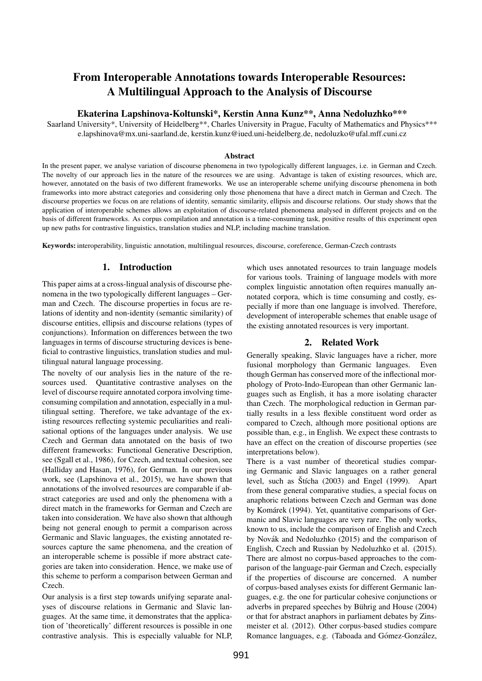# From Interoperable Annotations towards Interoperable Resources: A Multilingual Approach to the Analysis of Discourse

## Ekaterina Lapshinova-Koltunski\*, Kerstin Anna Kunz\*\*, Anna Nedoluzhko\*\*\*

Saarland University\*, University of Heidelberg\*\*, Charles University in Prague, Faculty of Mathematics and Physics\*\*\* e.lapshinova@mx.uni-saarland.de, kerstin.kunz@iued.uni-heidelberg.de, nedoluzko@ufal.mff.cuni.cz

#### Abstract

In the present paper, we analyse variation of discourse phenomena in two typologically different languages, i.e. in German and Czech. The novelty of our approach lies in the nature of the resources we are using. Advantage is taken of existing resources, which are, however, annotated on the basis of two different frameworks. We use an interoperable scheme unifying discourse phenomena in both frameworks into more abstract categories and considering only those phenomena that have a direct match in German and Czech. The discourse properties we focus on are relations of identity, semantic similarity, ellipsis and discourse relations. Our study shows that the application of interoperable schemes allows an exploitation of discourse-related phenomena analysed in different projects and on the basis of different frameworks. As corpus compilation and annotation is a time-consuming task, positive results of this experiment open up new paths for contrastive linguistics, translation studies and NLP, including machine translation.

Keywords: interoperability, linguistic annotation, multilingual resources, discourse, coreference, German-Czech contrasts

## 1. Introduction

This paper aims at a cross-lingual analysis of discourse phenomena in the two typologically different languages – German and Czech. The discourse properties in focus are relations of identity and non-identity (semantic similarity) of discourse entities, ellipsis and discourse relations (types of conjunctions). Information on differences between the two languages in terms of discourse structuring devices is beneficial to contrastive linguistics, translation studies and multilingual natural language processing.

The novelty of our analysis lies in the nature of the resources used. Quantitative contrastive analyses on the level of discourse require annotated corpora involving timeconsuming compilation and annotation, especially in a multilingual setting. Therefore, we take advantage of the existing resources reflecting systemic peculiarities and realisational options of the languages under analysis. We use Czech and German data annotated on the basis of two different frameworks: Functional Generative Description, see (Sgall et al., 1986), for Czech, and textual cohesion, see (Halliday and Hasan, 1976), for German. In our previous work, see (Lapshinova et al., 2015), we have shown that annotations of the involved resources are comparable if abstract categories are used and only the phenomena with a direct match in the frameworks for German and Czech are taken into consideration. We have also shown that although being not general enough to permit a comparison across Germanic and Slavic languages, the existing annotated resources capture the same phenomena, and the creation of an interoperable scheme is possible if more abstract categories are taken into consideration. Hence, we make use of this scheme to perform a comparison between German and Czech.

Our analysis is a first step towards unifying separate analyses of discourse relations in Germanic and Slavic languages. At the same time, it demonstrates that the application of 'theoretically' different resources is possible in one contrastive analysis. This is especially valuable for NLP,

which uses annotated resources to train language models for various tools. Training of language models with more complex linguistic annotation often requires manually annotated corpora, which is time consuming and costly, especially if more than one language is involved. Therefore, development of interoperable schemes that enable usage of the existing annotated resources is very important.

## 2. Related Work

Generally speaking, Slavic languages have a richer, more fusional morphology than Germanic languages. Even though German has conserved more of the inflectional morphology of Proto-Indo-European than other Germanic languages such as English, it has a more isolating character than Czech. The morphological reduction in German partially results in a less flexible constituent word order as compared to Czech, although more positional options are possible than, e.g., in English. We expect these contrasts to have an effect on the creation of discourse properties (see interpretations below).

There is a vast number of theoretical studies comparing Germanic and Slavic languages on a rather general level, such as  $\text{Štícha}$  (2003) and Engel (1999). Apart from these general comparative studies, a special focus on anaphoric relations between Czech and German was done by Komárek (1994). Yet, quantitative comparisons of Germanic and Slavic languages are very rare. The only works, known to us, include the comparison of English and Czech by Novák and Nedoluzhko (2015) and the comparison of English, Czech and Russian by Nedoluzhko et al. (2015). There are almost no corpus-based approaches to the comparison of the language-pair German and Czech, especially if the properties of discourse are concerned. A number of corpus-based analyses exists for different Germanic languages, e.g. the one for particular cohesive conjunctions or adverbs in prepared speeches by Bührig and House (2004) or that for abstract anaphors in parliament debates by Zinsmeister et al. (2012). Other corpus-based studies compare Romance languages, e.g. (Taboada and Gómez-González,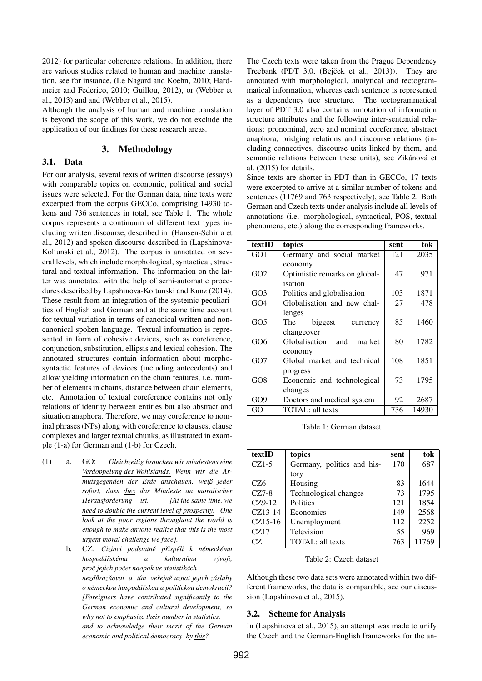2012) for particular coherence relations. In addition, there are various studies related to human and machine translation, see for instance, (Le Nagard and Koehn, 2010; Hardmeier and Federico, 2010; Guillou, 2012), or (Webber et al., 2013) and and (Webber et al., 2015).

Although the analysis of human and machine translation is beyond the scope of this work, we do not exclude the application of our findings for these research areas.

## 3. Methodology

#### 3.1. Data

For our analysis, several texts of written discourse (essays) with comparable topics on economic, political and social issues were selected. For the German data, nine texts were excerpted from the corpus GECCo, comprising 14930 tokens and 736 sentences in total, see Table 1. The whole corpus represents a continuum of different text types including written discourse, described in (Hansen-Schirra et al., 2012) and spoken discourse described in (Lapshinova-Koltunski et al., 2012). The corpus is annotated on several levels, which include morphological, syntactical, structural and textual information. The information on the latter was annotated with the help of semi-automatic procedures described by Lapshinova-Koltunski and Kunz (2014). These result from an integration of the systemic peculiarities of English and German and at the same time account for textual variation in terms of canonical written and noncanonical spoken language. Textual information is represented in form of cohesive devices, such as coreference, conjunction, substitution, ellipsis and lexical cohesion. The annotated structures contain information about morphosyntactic features of devices (including antecedents) and allow yielding information on the chain features, i.e. number of elements in chains, distance between chain elements, etc. Annotation of textual coreference contains not only relations of identity between entities but also abstract and situation anaphora. Therefore, we may coreference to nominal phrases (NPs) along with coreference to clauses, clause complexes and larger textual chunks, as illustrated in example (1-a) for German and (1-b) for Czech.

- (1) a. GO: *Gleichzeitig brauchen wir mindestens eine Verdoppelung des Wohlstands. Wenn wir die Armutsgegenden der Erde anschauen, weiß jeder sofort, dass dies das Mindeste an moralischer Herausforderung ist. [At the same time, we need to double the current level of prosperity. One look at the poor regions throughout the world is enough to make anyone realize that this is the most urgent moral challenge we face].*
	- b. CZ: *Cizinci podstatne p ˇ risp ˇ eli k n ˇ emeck ˇ emu ´ hospoda´rsk ˇ emu a kulturn ´ ´ımu vyvoji, ´ proc jejich po ˇ cet naopak ve statistik ˇ ach ´ nezduraz ˚ novat ˇ a t´ım verejn ˇ e uznat jejich z ˇ asluhy ´ o nemeckou hospod ˇ a´rskou a politickou demokracii? ˇ [Foreigners have contributed significantly to the German economic and cultural development, so why not to emphasize their number in statistics, and to acknowledge their merit of the German economic and political democracy by this?*

The Czech texts were taken from the Prague Dependency Treebank (PDT 3.0, (Bejček et al., 2013)). They are annotated with morphological, analytical and tectogrammatical information, whereas each sentence is represented as a dependency tree structure. The tectogrammatical layer of PDT 3.0 also contains annotation of information structure attributes and the following inter-sentential relations: pronominal, zero and nominal coreference, abstract anaphora, bridging relations and discourse relations (including connectives, discourse units linked by them, and semantic relations between these units), see Zikánová et al. (2015) for details.

Since texts are shorter in PDT than in GECCo, 17 texts were excerpted to arrive at a similar number of tokens and sentences (11769 and 763 respectively), see Table 2. Both German and Czech texts under analysis include all levels of annotations (i.e. morphological, syntactical, POS, textual phenomena, etc.) along the corresponding frameworks.

| textID | topics                        | sent | tok   |
|--------|-------------------------------|------|-------|
| GO1    | Germany and social market     | 121  | 2035  |
|        | economy                       |      |       |
| GO2    | Optimistic remarks on global- | 47   | 971   |
|        | isation                       |      |       |
| GO3    | Politics and globalisation    | 103  | 1871  |
| GO4    | Globalisation and new chal-   | 27   | 478   |
|        | lenges                        |      |       |
| GO5    | The<br>biggest<br>currency    | 85   | 1460  |
|        | changeover                    |      |       |
| GO6    | Globalisation and<br>market   | 80   | 1782  |
|        | economy                       |      |       |
| GO7    | Global market and technical   | 108  | 1851  |
|        | progress                      |      |       |
| GO8    | Economic and technological    | 73   | 1795  |
|        | changes                       |      |       |
| GO9    | Doctors and medical system    | 92   | 2687  |
| GО     | TOTAL: all texts              | 736  | 14930 |

Table 1: German dataset

| textID    | topics                     | sent | tok   |
|-----------|----------------------------|------|-------|
| $CZ1-5$   | Germany, politics and his- | 170  | 687   |
|           | tory                       |      |       |
| CZ6       | Housing                    | 83   | 1644  |
| $CZ7-8$   | Technological changes      | 73   | 1795  |
| $CZ9-12$  | <b>Politics</b>            | 121  | 1854  |
| $CZ13-14$ | Economics                  | 149  | 2568  |
| $CZ15-16$ | Unemployment               | 112  | 2252  |
| CZ17      | Television                 | 55   | 969   |
| CZ        | <b>TOTAL</b> : all texts   | 763  | 11769 |

Table 2: Czech dataset

Although these two data sets were annotated within two different frameworks, the data is comparable, see our discussion (Lapshinova et al., 2015).

## 3.2. Scheme for Analysis

In (Lapshinova et al., 2015), an attempt was made to unify the Czech and the German-English frameworks for the an-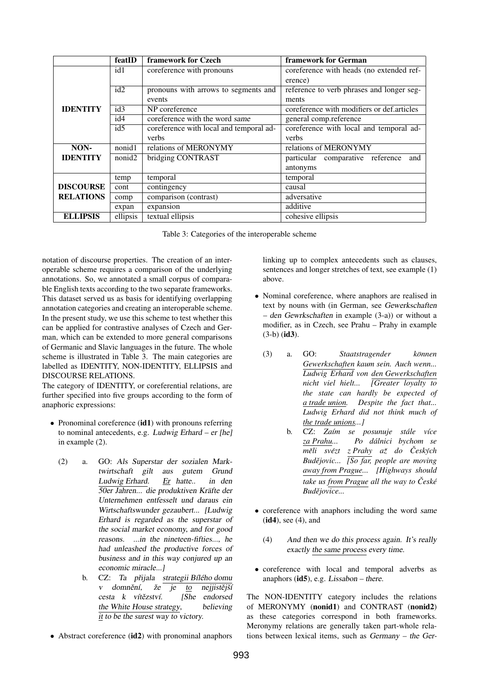|                  | featID             | framework for Czech                     | framework for German                       |  |
|------------------|--------------------|-----------------------------------------|--------------------------------------------|--|
|                  | id1                | coreference with pronouns               | coreference with heads (no extended ref-   |  |
|                  |                    |                                         | erence)                                    |  |
|                  | id2                | pronouns with arrows to segments and    | reference to verb phrases and longer seg-  |  |
|                  |                    | events                                  | ments                                      |  |
| <b>IDENTITY</b>  | id3                | NP coreference                          | coreference with modifiers or def.articles |  |
|                  | id4                | coreference with the word same          | general comp.reference                     |  |
|                  | id5                | coreference with local and temporal ad- | coreference with local and temporal ad-    |  |
|                  |                    | verbs                                   | verbs                                      |  |
| NON-             | nonid1             | relations of MERONYMY                   | relations of MERONYMY                      |  |
| <b>IDENTITY</b>  | nonid <sub>2</sub> | bridging CONTRAST                       | particular comparative reference<br>and    |  |
|                  |                    |                                         | antonyms                                   |  |
|                  | temp               | temporal                                | temporal                                   |  |
| <b>DISCOURSE</b> | cont               | contingency                             | causal                                     |  |
| <b>RELATIONS</b> | comp               | comparison (contrast)                   | adversative                                |  |
|                  | expan              | expansion                               | additive                                   |  |
| <b>ELLIPSIS</b>  | ellipsis           | textual ellipsis                        | cohesive ellipsis                          |  |

| Table 3: Categories of the interoperable scheme |  |
|-------------------------------------------------|--|
|-------------------------------------------------|--|

notation of discourse properties. The creation of an interoperable scheme requires a comparison of the underlying annotations. So, we annotated a small corpus of comparable English texts according to the two separate frameworks. This dataset served us as basis for identifying overlapping annotation categories and creating an interoperable scheme. In the present study, we use this scheme to test whether this can be applied for contrastive analyses of Czech and German, which can be extended to more general comparisons of Germanic and Slavic languages in the future. The whole scheme is illustrated in Table 3. The main categories are labelled as IDENTITY, NON-IDENTITY, ELLIPSIS and DISCOURSE RELATIONS.

The category of IDENTITY, or coreferential relations, are further specified into five groups according to the form of anaphoric expressions:

- Pronominal coreference (id1) with pronouns referring to nominal antecedents, e.g. Ludwig Erhard – er [he] in example (2).
	- (2) a. GO: Als Superstar der sozialen Marktwirtschaft gilt aus gutem Grund Ludwig Erhard. Er hatte.. in den 50er Jahren... die produktiven Kräfte der Unternehmen entfesselt und daraus ein Wirtschaftswunder gezaubert... [Ludwig Erhard is regarded as the superstar of the social market economy, and for good reasons. ...in the nineteen-fifties..., he had unleashed the productive forces of business and in this way conjured up an economic miracle...]
		- b. CZ: Ta přijala strategii Bílého domu v domnění, že  $ie$  to nejjistější cesta k vítězství. [She endorsed the White House strategy, believing it to be the surest way to victory.
- Abstract coreference (id2) with pronominal anaphors

linking up to complex antecedents such as clauses, sentences and longer stretches of text, see example (1) above.

- Nominal coreference, where anaphors are realised in text by nouns with (in German, see Gewerkschaften – den Gewrkschaften in example (3-a)) or without a modifier, as in Czech, see Prahu – Prahy in example  $(3-b)$  (id3).
	- (3) a. GO: *Staatstragender können Gewerkschaften kaum sein. Auch wenn... Ludwig Erhard von den Gewerkschaften nicht viel hielt... [Greater loyalty to the state can hardly be expected of a trade union. Despite the fact that... Ludwig Erhard did not think much of the trade unions...]*
		- b. CZ: Zaím se posunuje stále více *za Prahu... Po dalnici bychom se ´ měli svézt z Prahy až do Českých Budějovic... [So far, people are moving away from Prague... [Highways should take us from Prague all the way to Cesk ˇ e´ Budějovice...*
- coreference with anaphors including the word same  $(id4)$ , see  $(4)$ , and
	- (4) And then we do this process again. It's really exactly the same process every time.
- coreference with local and temporal adverbs as anaphors  $(id5)$ , e.g. *Lissabon* – there.

The NON-IDENTITY category includes the relations of MERONYMY (nonid1) and CONTRAST (nonid2) as these categories correspond in both frameworks. Meronymy relations are generally taken part-whole relations between lexical items, such as Germany – the Ger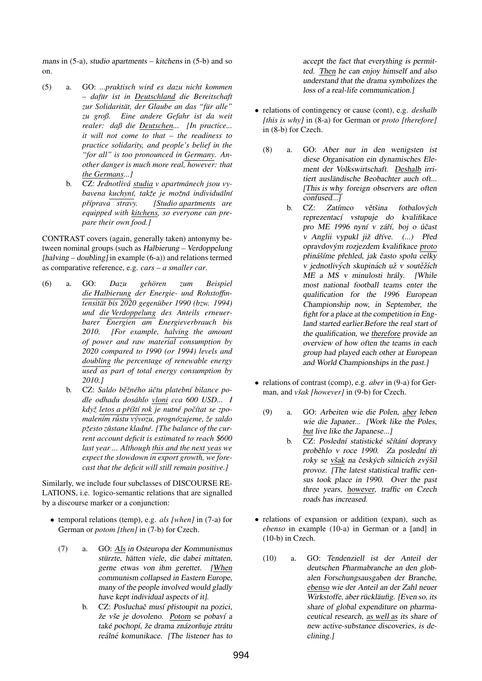mans in (5-a), studio apartments – kitchens in (5-b) and so on.

- (5) a. GO: *...praktisch wird es dazu nicht kommen – dafur ist in Deutschland ¨ die Bereitschaft zur Solidaritat, der Glaube an das "f ¨ ur alle" ¨ zu groß. Eine andere Gefahr ist da weit realer: daß die Deutschen... [In practice... it will not come to that – the readiness to practice solidarity, and people's belief in the "for all" is too pronounced in Germany. Another danger is much more real, however: that the Germans...]*
	- b. CZ: *Jednotliva studia ´ v apartmanech jsou vy- ´ bavena kuchyn´ı, takze je mo ˇ znˇ a individu ´ aln ´ ´ı prˇ´ıprava stravy. [Studio apartments are equipped with kitchens, so everyone can prepare their own food.]*

CONTRAST covers (again, generally taken) antonymy between nominal groups (such as Halbierung – Verdoppelung [halving – doubling] in example (6-a)) and relations termed as comparative reference, e.g. *cars – a smaller car*.

- (6) a. GO: *Dazu gehoren zum Beispiel ¨ die Halbierung der Energie- und Rohstoffintensitat bis 2020 gegen ¨ uber 1990 (bzw. 1994) ¨ und die Verdoppelung des Anteils erneuerbarer Energien am Energieverbrauch bis 2010. [For example, halving the amount of power and raw material consumption by 2020 compared to 1990 (or 1994) levels and doubling the percentage of renewable energy used as part of total energy consumption by 2010.]*
	- b. CZ: Saldo běžného účtu platební bilance po*dle odhadu dosahlo vloni ´ cca 600 USD... I kdyz letos a p ˇ rˇ´ıstˇ ´ı rok je nutne po ´ cˇ´ıtat se zpomalen´ım rustu v ˚ yvozu, progn ´ ozujeme, ´ ze saldo ˇ p*žesto zůstane kladné. [The balance of the cur*rent account deficit is estimated to reach* \$*600 last year ... Although this and the next yeas we expect the slowdown in export growth, we forecast that the deficit will still remain positive.]*

Similarly, we include four subclasses of DISCOURSE RE-LATIONS, i.e. logico-semantic relations that are signalled by a discourse marker or a conjunction:

- temporal relations (temp), e.g. *als [when]* in (7-a) for German or *potom [then]* in (7-b) for Czech.
	- (7) a. GO: Als in Osteuropa der Kommunismus stürzte, hätten viele, die dabei mittaten, gerne etwas von ihm gerettet. [When communism collapsed in Eastern Europe, many of the people involved would gladly have kept individual aspects of it].
		- b. CZ: Posluchač musí přistoupit na pozici, že vše je dovoleno. Potom se pobaví a také pochopí, že drama znázorňuje ztrátu reálné komunikace. [The listener has to

accept the fact that everything is permitted. Then he can enjoy himself and also understand that the drama symbolizes the loss of a real-life communication.]

- relations of contingency or cause (cont), e.g. *deshalb [this is why]* in (8-a) for German or *proto [therefore]* in (8-b) for Czech.
	- (8) a. GO: Aber nur in den wenigsten ist diese Organisation ein dynamisches Element der Volkswirtschaft. Deshalb irritiert ausländische Beobachter auch oft... [This is why foreign observers are often confused...]
		- b. CZ: Zatímco většina fotbalových reprezentací vstupuje do kvalifikace pro ME 1996 nyní v září, boj o účast v Anglii vypukl již dříve. (...) Před opravdovým rozjezdem kvalifikace proto přinášíme přehled, jak často spolu  $\overline{celky}$ v jednotlivých skupinách už v soutěžích ME a MS v minulosti hrály. [While most national football teams enter the qualification for the 1996 European Championship now, in September, the fight for a place at the competition in England started earlier.Before the real start of the qualification, we therefore provide an overview of how often the teams in each group had played each other at European and World Championships in the past.]
- relations of contrast (comp), e.g. *aber* in (9-a) for German, and *však [however]* in (9-b) for Czech.
	- (9) a. GO: Arbeiten wie die Polen, aber leben wie die Japaner... [Work like the Poles, but live like the Japanese...]
		- b. CZ: Poslední statistické sčítání dopravy proběhlo v roce 1990. Za poslední tři roky se však na českých silnicích zvýšil provoz. [The latest statistical traffic census took place in 1990. Over the past three years, however, traffic on Czech roads has increased.
- relations of expansion or addition (expan), such as *ebenso* in example (10-a) in German or a [and] in (10-b) in Czech.
	- (10) a. GO: Tendenziell ist der Anteil der deutschen Pharmabranche an den globalen Forschungsausgaben der Branche, ebenso wie der Anteil an der Zahl neuer Wirkstoffe, aber rückläufig. [Even so, its share of global expenditure on pharmaceutical research, as well as its share of new active-substance discoveries, is declining.]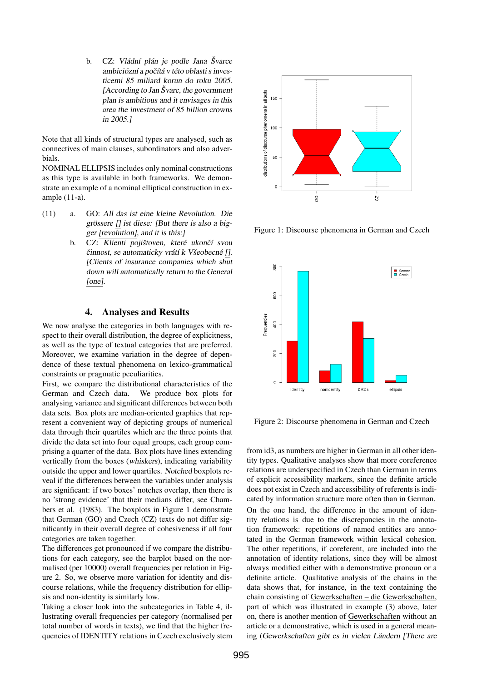b. CZ: Vládní plán je podle Jana Švarce ambiciózní a počítá v této oblasti s investicemi 85 miliard korun do roku 2005.  $[According to Jan Švarc, the government]$ plan is ambitious and it envisages in this area the investment of 85 billion crowns in 2005.]

Note that all kinds of structural types are analysed, such as connectives of main clauses, subordinators and also adverbials.

NOMINAL ELLIPSIS includes only nominal constructions as this type is available in both frameworks. We demonstrate an example of a nominal elliptical construction in example (11-a).

- (11) a. GO: All das ist eine kleine Revolution. Die grössere  $[]$  ist diese: [But there is also a bigger [revolution], and it is this:]
	- b. CZ: Klienti pojištoven, které ukončí svou činnost, se automaticky vrátí k Všeobecné []. [Clients of insurance companies which shut down will automatically return to the General [one].

# 4. Analyses and Results

We now analyse the categories in both languages with respect to their overall distribution, the degree of explicitness, as well as the type of textual categories that are preferred. Moreover, we examine variation in the degree of dependence of these textual phenomena on lexico-grammatical constraints or pragmatic peculiarities.

First, we compare the distributional characteristics of the German and Czech data. We produce box plots for analysing variance and significant differences between both data sets. Box plots are median-oriented graphics that represent a convenient way of depicting groups of numerical data through their quartiles which are the three points that divide the data set into four equal groups, each group comprising a quarter of the data. Box plots have lines extending vertically from the boxes (whiskers), indicating variability outside the upper and lower quartiles. Notched boxplots reveal if the differences between the variables under analysis are significant: if two boxes' notches overlap, then there is no 'strong evidence' that their medians differ, see Chambers et al. (1983). The boxplots in Figure 1 demonstrate that German (GO) and Czech (CZ) texts do not differ significantly in their overall degree of cohesiveness if all four categories are taken together.

The differences get pronounced if we compare the distributions for each category, see the barplot based on the normalised (per 10000) overall frequencies per relation in Figure 2. So, we observe more variation for identity and discourse relations, while the frequency distribution for ellipsis and non-identity is similarly low.

Taking a closer look into the subcategories in Table 4, illustrating overall frequencies per category (normalised per total number of words in texts), we find that the higher frequencies of IDENTITY relations in Czech exclusively stem



Figure 1: Discourse phenomena in German and Czech



Figure 2: Discourse phenomena in German and Czech

from id3, as numbers are higher in German in all other identity types. Qualitative analyses show that more coreference relations are underspecified in Czech than German in terms of explicit accessibility markers, since the definite article does not exist in Czech and accessibility of referents is indicated by information structure more often than in German. On the one hand, the difference in the amount of identity relations is due to the discrepancies in the annotation framework: repetitions of named entities are annotated in the German framework within lexical cohesion. The other repetitions, if coreferent, are included into the annotation of identity relations, since they will be almost always modified either with a demonstrative pronoun or a definite article. Qualitative analysis of the chains in the data shows that, for instance, in the text containing the chain consisting of Gewerkschaften – die Gewerkschaften, part of which was illustrated in example (3) above, later on, there is another mention of Gewerkschaften without an article or a demonstrative, which is used in a general meaning (Gewerkschaften gibt es in vielen Ländern [There are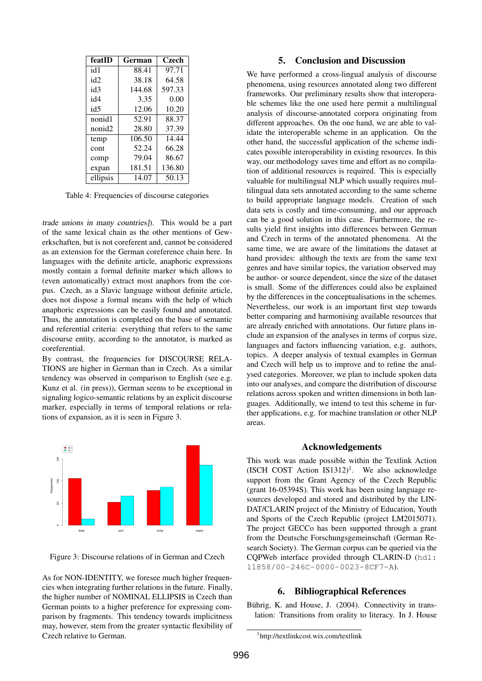| featID          | German | Czech  |  |
|-----------------|--------|--------|--|
| id1             | 88.41  | 97.71  |  |
| id2             | 38.18  | 64.58  |  |
| id3             | 144.68 | 597.33 |  |
| id4             | 3.35   | 0.00   |  |
| id <sub>5</sub> | 12.06  | 10.20  |  |
| nonid1          | 52.91  | 88.37  |  |
| nonid2          | 28.80  | 37.39  |  |
| temp            | 106.50 | 14.44  |  |
| cont            | 52.24  | 66.28  |  |
| comp            | 79.04  | 86.67  |  |
| expan           | 181.51 | 136.80 |  |
| ellipsis        | 14.07  | 50.13  |  |

Table 4: Frequencies of discourse categories

trade unions in many countries]). This would be a part of the same lexical chain as the other mentions of Gewerkschaften, but is not coreferent and, cannot be considered as an extension for the German coreference chain here. In languages with the definite article, anaphoric expressions mostly contain a formal definite marker which allows to (even automatically) extract most anaphors from the corpus. Czech, as a Slavic language without definite article, does not dispose a formal means with the help of which anaphoric expressions can be easily found and annotated. Thus, the annotation is completed on the base of semantic and referential criteria: everything that refers to the same discourse entity, according to the annotator, is marked as coreferential.

By contrast, the frequencies for DISCOURSE RELA-TIONS are higher in German than in Czech. As a similar tendency was observed in comparison to English (see e.g. Kunz et al. (in press)), German seems to be exceptional in signaling logico-semantic relations by an explicit discourse marker, especially in terms of temporal relations or relations of expansion, as it is seen in Figure 3.



Figure 3: Discourse relations of in German and Czech

As for NON-IDENTITY, we foresee much higher frequencies when integrating further relations in the future. Finally, the higher number of NOMINAL ELLIPSIS in Czech than German points to a higher preference for expressing comparison by fragments. This tendency towards implicitness may, however, stem from the greater syntactic flexibility of Czech relative to German.

## 5. Conclusion and Discussion

We have performed a cross-lingual analysis of discourse phenomena, using resources annotated along two different frameworks. Our preliminary results show that interoperable schemes like the one used here permit a multilingual analysis of discourse-annotated corpora originating from different approaches. On the one hand, we are able to validate the interoperable scheme in an application. On the other hand, the successful application of the scheme indicates possible interoperability in existing resources. In this way, our methodology saves time and effort as no compilation of additional resources is required. This is especially valuable for multilingual NLP which usually requires multilingual data sets annotated according to the same scheme to build appropriate language models. Creation of such data sets is costly and time-consuming, and our approach can be a good solution in this case. Furthermore, the results yield first insights into differences between German and Czech in terms of the annotated phenomena. At the same time, we are aware of the limitations the dataset at hand provides: although the texts are from the same text genres and have similar topics, the variation observed may be author- or source dependent, since the size of the dataset is small. Some of the differences could also be explained by the differences in the conceptualisations in the schemes. Nevertheless, our work is an important first step towards better comparing and harmonising available resources that are already enriched with annotations. Our future plans include an expansion of the analyses in terms of corpus size, languages and factors influencing variation, e.g. authors, topics. A deeper analysis of textual examples in German and Czech will help us to improve and to refine the analysed categories. Moreover, we plan to include spoken data into our analyses, and compare the distribution of discourse relations across spoken and written dimensions in both languages. Additionally, we intend to test this scheme in further applications, e.g. for machine translation or other NLP areas.

#### Acknowledgements

This work was made possible within the Textlink Action (ISCH COST Action IS1312)<sup>1</sup>. We also acknowledge support from the Grant Agency of the Czech Republic (grant 16-05394S). This work has been using language resources developed and stored and distributed by the LIN-DAT/CLARIN project of the Ministry of Education, Youth and Sports of the Czech Republic (project LM2015071). The project GECCo has been supported through a grant from the Deutsche Forschungsgemeinschaft (German Research Society). The German corpus can be queried via the CQPWeb interface provided through CLARIN-D (hdl: 11858/00-246C-0000-0023-8CF7-A).

## 6. Bibliographical References

Bührig, K. and House, J. (2004). Connectivity in translation: Transitions from orality to literacy. In J. House

<sup>1</sup> http://textlinkcost.wix.com/textlink